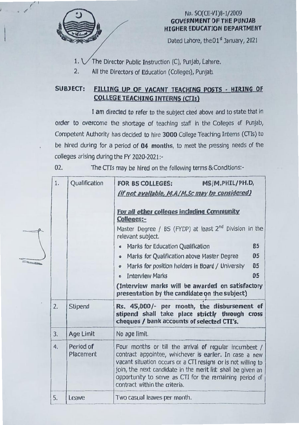

'I-- *<sup>I</sup>*

 $\overline{a}$ 

**SILLED** 

### No. SO(CE-VI)8-1/2009 GOVERNMENT OF THE PUNJAB HIGHER EDUCATION DEPARTMENT

Dated Lahore, the 01<sup>st</sup> January, 2021

1.  $\sqrt{}$  The Director Public Instruction (C), Punjab, Lahore.

2. All the Directors of Education (Colleges), Punjab.

## SUBJECT: FILLING UP Of VACANT IEACHlNG POSTS • HIRING OF COLLEGE TEACHING INTERNS (CTIs)

I am directed to refer to the subject cited above and to state that in order to overcome the shortage of teaching staff in the Colleges of Punjab, Competent Authority has decided to hire 3000 College Teaching Interns (CTIs) to be hired during for a period of 04 months, to meet the pressing needs *0(* the colleges arising during the FY 2020-2021:-

02. The CTIs may be hired on the following terms & Conditions:-

| 1. | Qualification          | MS/M.PHIL/PH.D,<br><b>FOR BS COLLEGES:</b><br>(if not available, M.A/M.Sc may be considered)                                                                                                                                                                                                                                                                                                                                                        |  |  |  |  |
|----|------------------------|-----------------------------------------------------------------------------------------------------------------------------------------------------------------------------------------------------------------------------------------------------------------------------------------------------------------------------------------------------------------------------------------------------------------------------------------------------|--|--|--|--|
|    |                        | For all other colleges including Community<br>Colleges:-<br>Master Degree / BS (FYDP) at least $2^{nd}$ Division in the<br>relevant subject.<br>85<br>Marks for Education Qualification<br>$\bullet$<br>Marks for Qualification above Master Degree<br>05<br>$\bullet$<br>05<br>Marks for position holders in Board / University<br>$\pmb{\sigma}$<br><b>Interview Marks</b><br>05<br>$\bullet$<br>(Interview marks will be awarded on satisfactory |  |  |  |  |
|    |                        | presentation by the candidate on the subject)                                                                                                                                                                                                                                                                                                                                                                                                       |  |  |  |  |
| 2. | Stipend                | Rs. 45,000/- per month, the disbursement of<br>stipend shall take place strictly through cross<br>cheques / bank accounts of selected CTI's.                                                                                                                                                                                                                                                                                                        |  |  |  |  |
| 3. | Age Limit              | No age limit.                                                                                                                                                                                                                                                                                                                                                                                                                                       |  |  |  |  |
| 4. | Period of<br>Placement | Four months or till the arrival of regular incumbent /<br>contract appointee, whichever is earlier. In case a new<br>vacant situation occurs or a CTI resigns or is not willing to<br>join, the next candidate in the merit list shall be given an<br>opportunity to serve as CTI for the remaining period of<br>contract within the criteria.                                                                                                      |  |  |  |  |
|    |                        |                                                                                                                                                                                                                                                                                                                                                                                                                                                     |  |  |  |  |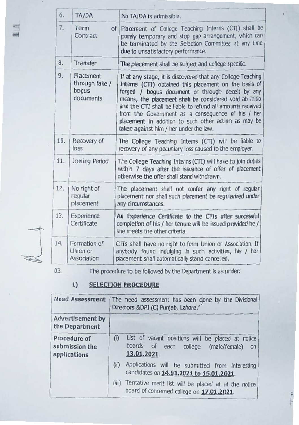| 6.  | TA/DA                                             | No TA/DA is admissible.                                                                                                                                                                                                                                                                                                                                                                                                                                  |  |
|-----|---------------------------------------------------|----------------------------------------------------------------------------------------------------------------------------------------------------------------------------------------------------------------------------------------------------------------------------------------------------------------------------------------------------------------------------------------------------------------------------------------------------------|--|
| 7.  | Term<br>of <sub>l</sub><br>Contract               | Placement of College Teaching Interns (CTI) shall be<br>purely temporary and stop gap arrangement, which can<br>be terminated by the Selection Committee at any time<br>due to unsatisfactory performance.                                                                                                                                                                                                                                               |  |
| 8.  | Transfer                                          | The placement shall be subject and college specific.                                                                                                                                                                                                                                                                                                                                                                                                     |  |
| 9.  | Placement<br>through fake /<br>bogus<br>documents | If at any stage, it is discovered that any College Teaching<br>Interns (CTI) obtained this placement on the basis of<br>forged / bogus document or through deceit by any<br>means, the placement shall be considered void ab initio<br>and the CTI shall be liable to refund all amounts received<br>from the Government as a consequence of his / her<br>placement in addition to such other action as may be<br>taken against him / her under the law. |  |
| 10. | Recovery of<br>loss                               | The College Teaching Interns (CTI) will be liable to<br>recovery of any pecuniary loss caused to the employer.                                                                                                                                                                                                                                                                                                                                           |  |
| 11. | Joining Period                                    | The College Teaching Interns (CTI) will have to join duties<br>within 7 days after the issuance of offer of placement<br>otherwise the offer shall stand withdrawn.                                                                                                                                                                                                                                                                                      |  |
| 12. | No right of<br>regular<br>placement               | The placement shall not confer any right of regular<br>placement nor shall such placement be regularized under<br>any circumstances.                                                                                                                                                                                                                                                                                                                     |  |
| 13. | Experience<br>Certificate                         | An Experience Certificate to the CTIs after successful<br>completion of his / her tenure will be issued provided he /<br>she meets the other criteria.                                                                                                                                                                                                                                                                                                   |  |
| 14. | Formation of<br>Union or<br>Association           | CTIs shall have no right to form Union or Association. If<br>anybody found indulging in such activities, his / her<br>placement shall automatically stand cancelled.                                                                                                                                                                                                                                                                                     |  |



03. The procedure to be followed by the Department is as under:

# **SELECTION PROCEDURE**

| <b>Need Assessment</b>                         | The need assessment has been done by the Divisional<br>Directors &DPI (C) Punjab, Lahore.'                            |  |  |
|------------------------------------------------|-----------------------------------------------------------------------------------------------------------------------|--|--|
| <b>Advertisement by</b><br>the Department      |                                                                                                                       |  |  |
| Procedure of<br>submission the<br>applications | (i)<br>List of vacant positions will be placed at notice<br>boards of each college (male/female)<br>on<br>13.01.2021. |  |  |
|                                                | (ii)<br>Applications will be submitted from interesting<br>candidates on 14.01.2021 to 15.01.2021.                    |  |  |
|                                                | (iii)<br>Tentative merit list will be placed at at the notice<br>board of concerned college on 17.01.2021.            |  |  |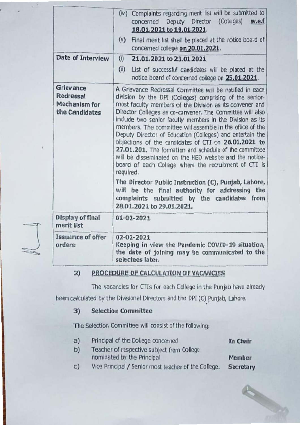|                                                           | (iv) Complaints regarding merit list will be submitted to<br>concerned Deputy Director (Colleges)<br>w.e.f<br>18.01.2021 to 19.01.2021.                                                                                                                                                                                                                                                                                                                                                                                                                                                                                                                                                                                                                                                                                                                                       |  |  |
|-----------------------------------------------------------|-------------------------------------------------------------------------------------------------------------------------------------------------------------------------------------------------------------------------------------------------------------------------------------------------------------------------------------------------------------------------------------------------------------------------------------------------------------------------------------------------------------------------------------------------------------------------------------------------------------------------------------------------------------------------------------------------------------------------------------------------------------------------------------------------------------------------------------------------------------------------------|--|--|
|                                                           | Final merit list shall be placed at the notice board of<br>(v)<br>concerned college on 20.01.2021.                                                                                                                                                                                                                                                                                                                                                                                                                                                                                                                                                                                                                                                                                                                                                                            |  |  |
| Date of Interview                                         | (i)<br>21.01.2021 to 23.01.2021                                                                                                                                                                                                                                                                                                                                                                                                                                                                                                                                                                                                                                                                                                                                                                                                                                               |  |  |
|                                                           | (i)<br>List of successful candidates will be placed at the<br>notice board of concerned college on 25.01.2021.                                                                                                                                                                                                                                                                                                                                                                                                                                                                                                                                                                                                                                                                                                                                                                |  |  |
| Grievance<br>Redressal<br>Mechanism for<br>the Candidates | A Grievance Redressal Committee will be notified in each<br>division by the DPI (Colleges) comprising of the senior-<br>most faculty members of the Division as Its convener and<br>Director Colleges as co-convener. The Committee will also<br>include two senior faculty members in the Division as its<br>members. The committee will assemble in the office of the<br>Deputy Director of Education (Colleges) and entertain the<br>objections of the candidates of CTI on 26.01.2021 to<br>27.01.201. The formation and schedule of the committee<br>will be disseminated on the HED website and the notice-<br>board of each College where the recruitment of CTI is<br>required.<br>The Director Public Instruction (C), Punjab, Lahore,<br>will be the final authority for addressing the<br>complaints submitted by the candidates from<br>28.01.2021 to 29.01.2021. |  |  |
| Display of final<br>merit list                            | $01 - 02 - 2021$                                                                                                                                                                                                                                                                                                                                                                                                                                                                                                                                                                                                                                                                                                                                                                                                                                                              |  |  |
| Issuance of offer<br>orders                               | $02 - 02 - 2021$<br>Keeping in view the Pandemic COVID-19 situation,<br>the date of joining may be communicated to the<br>selectees later.                                                                                                                                                                                                                                                                                                                                                                                                                                                                                                                                                                                                                                                                                                                                    |  |  |

### 2) PROCEDURE OF CALCULATION OF VACANCIES

The vacancies for CTIs for each College in the Punjab have already

been calculated by the Divisional Directors and the DPI(C) punjab, Lahore. •

## 3) Selection Committee

The Selection Committee will consist of the following:

- a) Principal of the College concerned In Chair b) Teacher of respective subject from College nominated by the Principal Member
- c) Vice Principal / Senior most teacher of the College. Secretary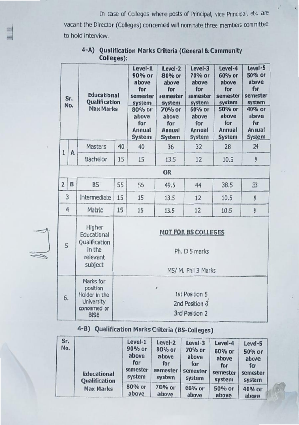In case of Colleges where posts of Principal, vice Principal, etc. are vacant the Director (Colleges) concerned will nominate three members comraittee to hold interview.

|                | Sr.<br>No. | <b>Educational</b><br>Qualification<br><b>Max Marks</b>                                    |                                                                    | Level-1<br>90% or<br>above<br>for<br>semester<br>system<br>80% or<br>above<br>for<br>Annual<br>System | Level-2<br>80% or<br>above<br>for<br>semester<br>system<br>70% or<br>above<br>for<br>Annual<br><b>System</b> | Level-3<br>70% or<br>above<br>for<br>semester<br>system<br>60% or<br>above<br>for<br>Annual<br><b>System</b> | Level-4<br>60% or<br>above<br>for<br>semester<br>system<br>50% or<br>above<br>for<br>Annual<br><b>System</b> | Level-5<br>50% or<br>above<br>for<br>semester<br>system<br>40% or<br>above<br>For<br>Annual<br><b>System</b> |
|----------------|------------|--------------------------------------------------------------------------------------------|--------------------------------------------------------------------|-------------------------------------------------------------------------------------------------------|--------------------------------------------------------------------------------------------------------------|--------------------------------------------------------------------------------------------------------------|--------------------------------------------------------------------------------------------------------------|--------------------------------------------------------------------------------------------------------------|
| 1              | Λ          | Masters                                                                                    | 40                                                                 | 40                                                                                                    | 36                                                                                                           | 32                                                                                                           | 28                                                                                                           | 24                                                                                                           |
|                |            | <b>Bachelor</b>                                                                            | 15                                                                 | 15                                                                                                    | 13.5                                                                                                         | 12                                                                                                           | 10.5                                                                                                         | 9                                                                                                            |
|                |            |                                                                                            |                                                                    |                                                                                                       | OR                                                                                                           |                                                                                                              |                                                                                                              |                                                                                                              |
| $\overline{2}$ | B          | <b>BS</b>                                                                                  | 55                                                                 | 55                                                                                                    | 49.5                                                                                                         | 44                                                                                                           | 38.5                                                                                                         | 33                                                                                                           |
|                | 3          | Intermediate                                                                               | 15                                                                 | 15                                                                                                    | 13.5                                                                                                         | 12                                                                                                           | 10.5                                                                                                         | 9                                                                                                            |
|                | 4          | Matric                                                                                     | 15                                                                 | 15                                                                                                    | 13.5                                                                                                         | 12                                                                                                           | 10.5                                                                                                         | 9                                                                                                            |
| 5              |            | Higher<br>Educational<br>Qualification<br>in the<br>relevant<br>subject                    | <b>NOT FOR BS COLLEGES</b><br>Ph. D 5 marks<br>MS/ M. Phil 3 Marks |                                                                                                       |                                                                                                              |                                                                                                              |                                                                                                              |                                                                                                              |
| 6.             |            | Marks for<br>position<br>Holder in the<br><b>University</b><br>concerned or<br><b>BISE</b> | ,<br>1st Position 5<br>2nd Position 3<br>3rd Position 2            |                                                                                                       |                                                                                                              |                                                                                                              |                                                                                                              |                                                                                                              |

### 4-A) Qualification Marks Criteria (General & Community Colleges):

# 4-B) Qualification Marks Criteria (BS-Colleges)

| Sr.<br>No. | <b>Educational</b><br>Qualification | Level-1<br>90% or<br>above<br>for<br>semester<br>system | Level-2<br>80% or<br>above<br>for<br>semester<br>system | Level-3<br>70% or<br>above<br>for<br>semester<br>system | Level-4<br>60% or<br>above<br>for<br>semester<br>system | Level-5<br>50% or<br>above<br>for<br>semester<br>system |
|------------|-------------------------------------|---------------------------------------------------------|---------------------------------------------------------|---------------------------------------------------------|---------------------------------------------------------|---------------------------------------------------------|
|            | <b>Max Marks</b>                    | 80% or<br>above                                         | 70% or<br>above                                         | 60% or<br>above                                         | 50% or<br>above                                         | 40% or<br>above                                         |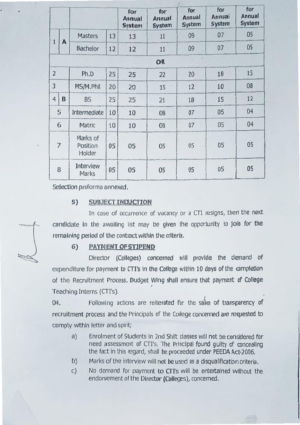|                |                |                                |    | for<br>Annual<br><b>System</b> | for<br>Annual<br><b>System</b> | for<br>Annual<br><b>System</b> | for<br>Annual<br>System | for<br>Annual<br><b>System</b> |
|----------------|----------------|--------------------------------|----|--------------------------------|--------------------------------|--------------------------------|-------------------------|--------------------------------|
|                |                | <b>Masters</b>                 | 13 | 13                             | 11                             | 09                             | 07                      | 05                             |
| $\mathbf{1}$   | A              | <b>Bachelor</b>                | 12 | 12                             | 11                             | 09                             | 07                      | 05                             |
|                |                |                                |    |                                | OR                             |                                |                         |                                |
| $\overline{2}$ |                | Ph.D                           | 25 | 25                             | 22                             | 20                             | 18                      | 15                             |
| 3              |                | MS/M.Phil                      | 20 | 20                             | 15                             | 12                             | 10                      | 08                             |
| $\overline{4}$ | B              | <b>BS</b>                      | 25 | 25                             | 21                             | 18                             | 15                      | 12                             |
|                | 5              | Intermediate                   | 10 | 10                             | 08                             | 07                             | 05                      | 04                             |
|                | 6              | Matric                         | 10 | 10                             | 08                             | 07                             | 05                      | 04                             |
|                | $\overline{7}$ | Marks of<br>Position<br>Holder | 05 | 05                             | 05                             | 05                             | 05                      | 05                             |
| 8              |                | Interview<br>Marks             | 05 | 05                             | 05                             | 05                             | 05                      | 05                             |

Selection proforma annexed.

### 5) SUBJECT INDUCTION

In case of occurrence of vacancy or a CTI resigns, then the next candidate in the awaiting list may be given the opportunity to join for the remaining period of the contract within the criteria.

### 6) PAYMENT OF STIPEND

Director (Colleges) concerned will provide the demand of expenditure for payment to CTI's in the College within 10 days of the completion of the Recruitment Process. Budget Wing shall ensure that payment of College Teaching Interns (CTI's).

04. Following actions are reiterated for the sake of transparency of recruitment process and the Principals of the College concerned are requested to comply within letter and spirit;

- a) Enrolment of Students in 2nd Shift classes will not be considered for need assessment of CTI's. The Principal found guilty of concealing the fact in this regard, shall be proceeded under PEEDA Act-2006.
- b) Marks of the interview will not be used as a disqualification criteria.
- c) No demand for payment to CTT's will be entertained without the endorsement of the Director (Colleges), concemed.

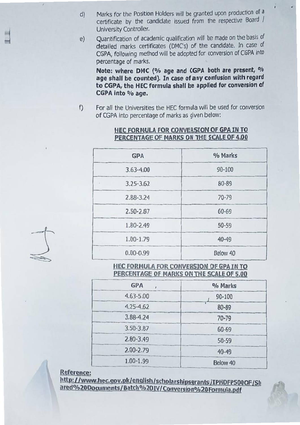- d) Marks for the Position Holders will be granted upon production of a certificate by the candidate issued from the respective Board / University Controller.
- Quantification of academic qualification will be made on the basis of detailed marks certificates (OMC's) of the candidate. In case of CGPA, following method will be adopted for conversion of CGPA into percentage of marks. e)

Note: where DMC (% age and CGPA both are present, % age shall be counted). In case of any confusion with regard to CGPA, the HEC formula shall be applied for conversion of CGPA into % age.

f) For all the Universities the HEC formula will be used for conversion of CGPA Into percentage of marks as given below:

| <b>GPA</b>    | % Marks    |  |
|---------------|------------|--|
| $3.63 - 4.00$ | $90 - 100$ |  |
| $3.25 - 3.62$ | 80-89      |  |
| 2.88-3.24     | $70 - 79$  |  |
| $2.50 - 2.87$ | $60 - 69$  |  |
| 1.80-2.49     | 50-59      |  |
| $1.00 - 1.79$ | $40 - 49$  |  |
| $0.00 - 0.99$ | Below 40   |  |

### HEC FORMULA FOR CONVERSION OF GPA IN TO PERCENTAGE OF MARKS ON THE SCALE OF 4.00

HEC FORMULA FOR CONVERSION OF GPA IN TO PERCENTAGE OF MARKS ON THE SCALE OF 5.00

| <b>GPA</b>    | % Marks    |
|---------------|------------|
| $4.63 - 5.00$ | $90 - 100$ |
| $4.25 - 4.62$ | 80-89      |
| 3.88-4.24     | $70 - 79$  |
| 3.50-3.87     | $60 - 69$  |
| $2.80 - 3.49$ | $50 - 59$  |
| $2.00 - 2.79$ | $40 - 49$  |
| $1.00 - 1.99$ | Below 40   |

Reference:

http://www.hec.gov.pk/english/scholarshipsgrants/IPHDFP500OF/Sh ared%20Documents/Batch%20IV/Conversion%20Formula.pdf